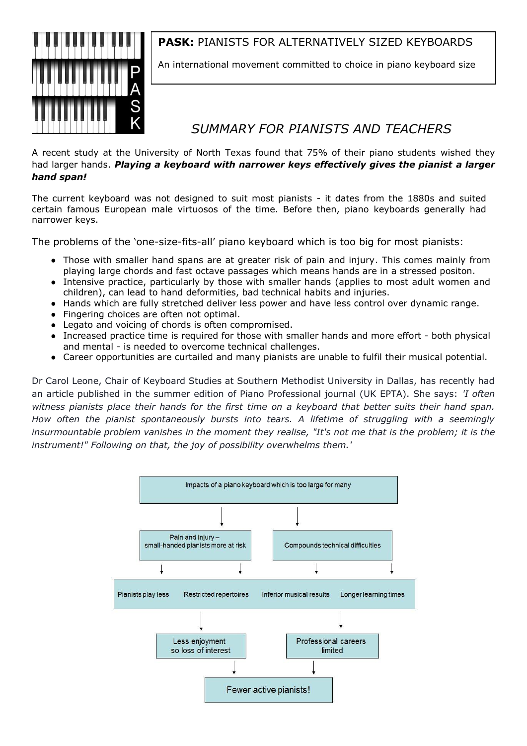

### **PASK:** PIANISTS FOR ALTERNATIVELY SIZED KEYBOARDS

An international movement committed to choice in piano keyboard size

# *SUMMARY FOR PIANISTS AND TEACHERS*

A recent study at the University of North Texas found that 75% of their piano students wished they had larger hands. *Playing a keyboard with narrower keys effectively gives the pianist a larger hand span!*

The current keyboard was not designed to suit most pianists - it dates from the 1880s and suited certain famous European male virtuosos of the time. Before then, piano keyboards generally had narrower keys.

The problems of the 'one-size-fits-all' piano keyboard which is too big for most pianists:

- Those with smaller hand spans are at greater risk of pain and injury. This comes mainly from playing large chords and fast octave passages which means hands are in a stressed positon.
- Intensive practice, particularly by those with smaller hands (applies to most adult women and children), can lead to hand deformities, bad technical habits and injuries.
- Hands which are fully stretched deliver less power and have less control over dynamic range.
- Fingering choices are often not optimal.
- Legato and voicing of chords is often compromised.
- Increased practice time is required for those with smaller hands and more effort both physical and mental - is needed to overcome technical challenges.
- Career opportunities are curtailed and many pianists are unable to fulfil their musical potential.

Dr Carol Leone, Chair of Keyboard Studies at Southern Methodist University in Dallas, has recently had an article published in the summer edition of Piano Professional journal (UK EPTA). She says: *'I often witness pianists place their hands for the first time on a keyboard that better suits their hand span. How often the pianist spontaneously bursts into tears. A lifetime of struggling with a seemingly insurmountable problem vanishes in the moment they realise, "It's not me that is the problem; it is the instrument!" Following on that, the joy of possibility overwhelms them.'*